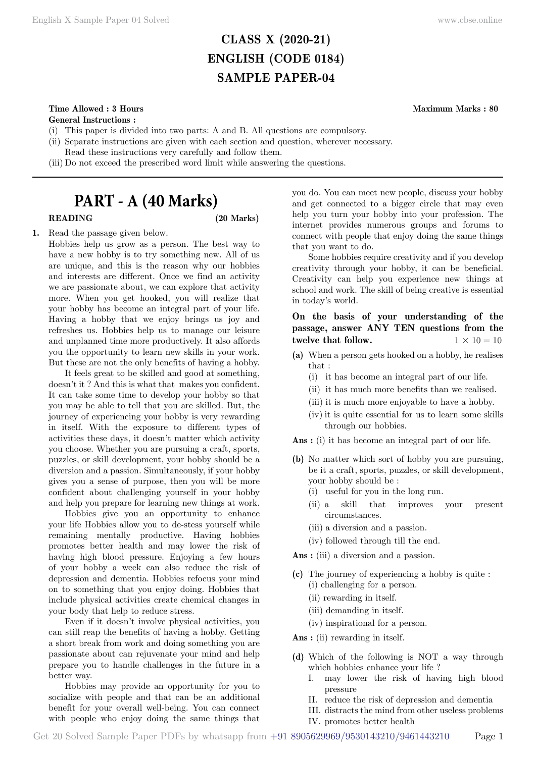# **CLASS X (2020-21) ENGLISH (CODE 0184) SAMPLE PAPER-04**

# **Time Allowed : 3 Hours Maximum Marks : 80**

**General Instructions :**

- (i) This paper is divided into two parts: A and B. All questions are compulsory.
- (ii) Separate instructions are given with each section and question, wherever necessary.
- Read these instructions very carefully and follow them.
- (iii) Do not exceed the prescribed word limit while answering the questions.

# **PART - A (40 Marks)**

# **READING (20 Marks)**

**1.** Read the passage given below. Hobbies help us grow as a person. The best way to have a new hobby is to try something new. All of us are unique, and this is the reason why our hobbies and interests are different. Once we find an activity we are passionate about, we can explore that activity more. When you get hooked, you will realize that your hobby has become an integral part of your life. Having a hobby that we enjoy brings us joy and refreshes us. Hobbies help us to manage our leisure and unplanned time more productively. It also affords you the opportunity to learn new skills in your work. But these are not the only benefits of having a hobby.

It feels great to be skilled and good at something, doesn't it ? And this is what that makes you confident. It can take some time to develop your hobby so that you may be able to tell that you are skilled. But, the journey of experiencing your hobby is very rewarding in itself. With the exposure to different types of activities these days, it doesn't matter which activity you choose. Whether you are pursuing a craft, sports, puzzles, or skill development, your hobby should be a diversion and a passion. Simultaneously, if your hobby gives you a sense of purpose, then you will be more confident about challenging yourself in your hobby and help you prepare for learning new things at work.

Hobbies give you an opportunity to enhance your life Hobbies allow you to de-stess yourself while remaining mentally productive. Having hobbies promotes better health and may lower the risk of having high blood pressure. Enjoying a few hours of your hobby a week can also reduce the risk of depression and dementia. Hobbies refocus your mind on to something that you enjoy doing. Hobbies that include physical activities create chemical changes in your body that help to reduce stress.

Even if it doesn't involve physical activities, you can still reap the benefits of having a hobby. Getting a short break from work and doing something you are passionate about can rejuvenate your mind and help prepare you to handle challenges in the future in a better way.

Hobbies may provide an opportunity for you to socialize with people and that can be an additional benefit for your overall well-being. You can connect with people who enjoy doing the same things that you do. You can meet new people, discuss your hobby and get connected to a bigger circle that may even help you turn your hobby into your profession. The internet provides numerous groups and forums to connect with people that enjoy doing the same things that you want to do.

Some hobbies require creativity and if you develop creativity through your hobby, it can be beneficial. Creativity can help you experience new things at school and work. The skill of being creative is essential in today's world.

**On the basis of your understanding of the passage, answer ANY TEN questions from the twelve that follow.**  $1 \times 10 = 10$ 

- **(a)** When a person gets hooked on a hobby, he realises that :
	- (i) it has become an integral part of our life.
	- (ii) it has much more benefits than we realised.
	- (iii) it is much more enjoyable to have a hobby.
	- (iv) it is quite essential for us to learn some skills through our hobbies.

 **Ans :** (i) it has become an integral part of our life.

- **(b)** No matter which sort of hobby you are pursuing, be it a craft, sports, puzzles, or skill development, your hobby should be :
	- (i) useful for you in the long run.
	- (ii) a skill that improves your present circumstances.
	- (iii) a diversion and a passion.
	- (iv) followed through till the end.
- **Ans :** (iii) a diversion and a passion.
- **(c)** The journey of experiencing a hobby is quite :
	- (i) challenging for a person.
	- (ii) rewarding in itself.
	- (iii) demanding in itself.
	- (iv) inspirational for a person.

 **Ans :** (ii) rewarding in itself.

- **(d)** Which of the following is NOT a way through which hobbies enhance your life ?
	- I. may lower the risk of having high blood pressure
	- II. reduce the risk of depression and dementia
	- III. distracts the mind from other useless problems
	- IV. promotes better health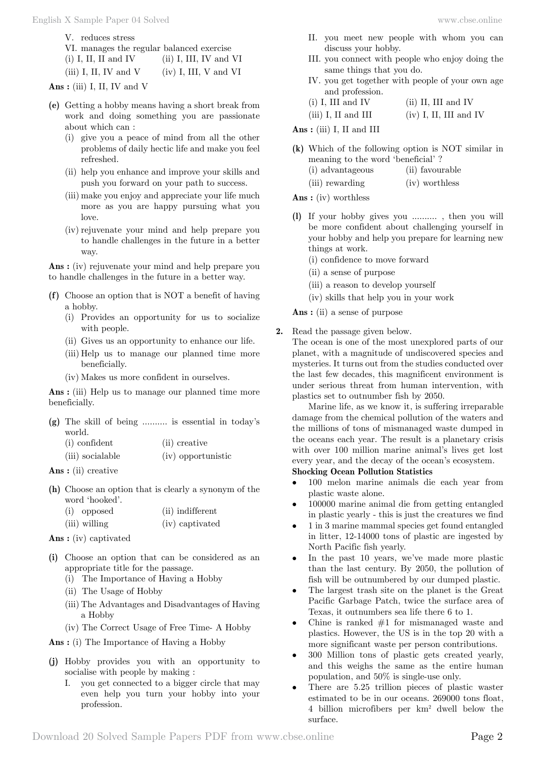V. reduces stress

| VI. manages the regular balanced exercise                                                                       |                          |
|-----------------------------------------------------------------------------------------------------------------|--------------------------|
| $(i)$ I, II, II and IV                                                                                          | $(ii)$ I, III, IV and VI |
| the contract of the contract of the contract of the contract of the contract of the contract of the contract of |                          |

(iii) I, II, IV and V (iv) I, III, V and VI

 **Ans :** (iii) I, II, IV and V

- **(e)** Getting a hobby means having a short break from work and doing something you are passionate about which can :
	- (i) give you a peace of mind from all the other problems of daily hectic life and make you feel refreshed.
	- (ii) help you enhance and improve your skills and push you forward on your path to success.
	- (iii) make you enjoy and appreciate your life much more as you are happy pursuing what you love.
	- (iv) rejuvenate your mind and help prepare you to handle challenges in the future in a better way.

 **Ans :** (iv) rejuvenate your mind and help prepare you to handle challenges in the future in a better way.

- **(f)** Choose an option that is NOT a benefit of having a hobby.
	- (i) Provides an opportunity for us to socialize with people.
	- (ii) Gives us an opportunity to enhance our life.
	- (iii) Help us to manage our planned time more beneficially.
	- (iv) Makes us more confident in ourselves.

Ans : (iii) Help us to manage our planned time more beneficially.

|               | $(g)$ The skill of being  is essential in today's |
|---------------|---------------------------------------------------|
| world.        |                                                   |
| (i) confident | (ii) creative                                     |

| (iii) socialable |  | (iv) opportunistic |
|------------------|--|--------------------|
|------------------|--|--------------------|

- **Ans :** (ii) creative
- **(h)** Choose an option that is clearly a synonym of the word 'hooked'.

| (i) opposed   | (ii) indifferent |
|---------------|------------------|
| (iii) willing | (iv) captivated  |

 **Ans :** (iv) captivated

- **(i)** Choose an option that can be considered as an appropriate title for the passage.
	- (i) The Importance of Having a Hobby
	- (ii) The Usage of Hobby
	- (iii) The Advantages and Disadvantages of Having a Hobby
	- (iv) The Correct Usage of Free Time- A Hobby

 **Ans :** (i) The Importance of Having a Hobby

- **(j)** Hobby provides you with an opportunity to socialise with people by making :
	- I. you get connected to a bigger circle that may even help you turn your hobby into your profession.
- II. you meet new people with whom you can discuss your hobby.
- III. you connect with people who enjoy doing the same things that you do.
- IV. you get together with people of your own age and profession.<br>I III and IV

| $(i)$ I, III and IV                 | $(ii)$ II, III and IV                                                                                                                                                                                                                                                                                                                                                                                                                                                                                                                                                                             |
|-------------------------------------|---------------------------------------------------------------------------------------------------------------------------------------------------------------------------------------------------------------------------------------------------------------------------------------------------------------------------------------------------------------------------------------------------------------------------------------------------------------------------------------------------------------------------------------------------------------------------------------------------|
| $\langle \cdots \rangle$ T TT 1 TTT | $\left\langle \cdot\right\rangle$ $\left\langle \cdot\right\rangle$ $\left\langle \cdot\right\rangle$ $\left\langle \cdot\right\rangle$ $\left\langle \cdot\right\rangle$ $\left\langle \cdot\right\rangle$ $\left\langle \cdot\right\rangle$ $\left\langle \cdot\right\rangle$ $\left\langle \cdot\right\rangle$ $\left\langle \cdot\right\rangle$ $\left\langle \cdot\right\rangle$ $\left\langle \cdot\right\rangle$ $\left\langle \cdot\right\rangle$ $\left\langle \cdot\right\rangle$ $\left\langle \cdot\right\rangle$ $\left\langle \cdot\right\rangle$ $\left\langle \cdot\right\rangle$ |

 $(iii)$  I, II and III  $(iv)$  I, II, III and IV

 **Ans :** (iii) I, II and III

- **(k)** Which of the following option is NOT similar in meaning to the word 'beneficial' ?
	- (i) advantageous (ii) favourable
	- (iii) rewarding (iv) worthless

 **Ans :** (iv) worthless

- **(l)** If your hobby gives you .......... , then you will be more confident about challenging yourself in your hobby and help you prepare for learning new things at work.
	- (i) confidence to move forward
	- (ii) a sense of purpose
	- (iii) a reason to develop yourself
	- (iv) skills that help you in your work

 **Ans :** (ii) a sense of purpose

**2.** Read the passage given below.

The ocean is one of the most unexplored parts of our planet, with a magnitude of undiscovered species and mysteries. It turns out from the studies conducted over the last few decades, this magnificent environment is under serious threat from human intervention, with plastics set to outnumber fish by 2050.

Marine life, as we know it, is suffering irreparable damage from the chemical pollution of the waters and the millions of tons of mismanaged waste dumped in the oceans each year. The result is a planetary crisis with over 100 million marine animal's lives get lost every year, and the decay of the ocean's ecosystem.

## **Shocking Ocean Pollution Statistics**

- 100 melon marine animals die each year from plastic waste alone.
- 100000 marine animal die from getting entangled in plastic yearly - this is just the creatures we find
- 1 in 3 marine mammal species get found entangled in litter, 12-14000 tons of plastic are ingested by North Pacific fish yearly.
- In the past 10 years, we've made more plastic than the last century. By 2050, the pollution of fish will be outnumbered by our dumped plastic.
- The largest trash site on the planet is the Great Pacific Garbage Patch, twice the surface area of Texas, it outnumbers sea life there 6 to 1.
- Chine is ranked  $#1$  for mismanaged waste and plastics. However, the US is in the top 20 with a more significant waste per person contributions.
- 300 Million tons of plastic gets created yearly, and this weighs the same as the entire human population, and 50% is single-use only.
- There are 5.25 trillion pieces of plastic waster estimated to be in our oceans. 269000 tons float, 4 billion microfibers per km2 dwell below the surface.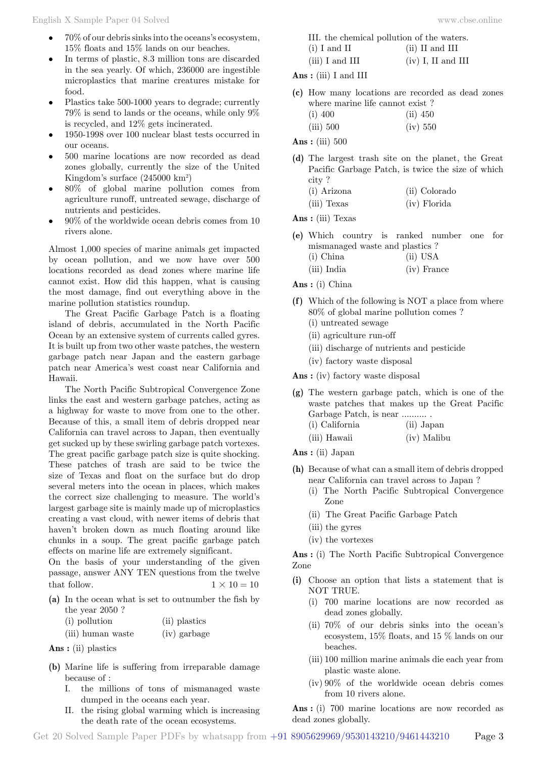- $70\%$  of our debris sinks into the oceans's ecosystem, 15% floats and 15% lands on our beaches.
- In terms of plastic, 8.3 million tons are discarded in the sea yearly. Of which, 236000 are ingestible microplastics that marine creatures mistake for food.
- Plastics take 500-1000 years to degrade; currently 79% is send to lands or the oceans, while only 9% is recycled, and 12% gets incinerated.
- 1950-1998 over 100 nuclear blast tests occurred in our oceans.
- 500 marine locations are now recorded as dead zones globally, currently the size of the United Kingdom's surface (245000 km2 )
- 80% of global marine pollution comes from agriculture runoff, untreated sewage, discharge of nutrients and pesticides.
- $90\%$  of the worldwide ocean debris comes from  $10$ rivers alone.

Almost 1,000 species of marine animals get impacted by ocean pollution, and we now have over 500 locations recorded as dead zones where marine life cannot exist. How did this happen, what is causing the most damage, find out everything above in the marine pollution statistics roundup.

The Great Pacific Garbage Patch is a floating island of debris, accumulated in the North Pacific Ocean by an extensive system of currents called gyres. It is built up from two other waste patches, the western garbage patch near Japan and the eastern garbage patch near America's west coast near California and Hawaii.

The North Pacific Subtropical Convergence Zone links the east and western garbage patches, acting as a highway for waste to move from one to the other. Because of this, a small item of debris dropped near California can travel across to Japan, then eventually get sucked up by these swirling garbage patch vortexes. The great pacific garbage patch size is quite shocking. These patches of trash are said to be twice the size of Texas and float on the surface but do drop several meters into the ocean in places, which makes the correct size challenging to measure. The world's largest garbage site is mainly made up of microplastics creating a vast cloud, with newer items of debris that haven't broken down as much floating around like chunks in a soup. The great pacific garbage patch effects on marine life are extremely significant.

On the basis of your understanding of the given passage, answer ANY TEN questions from the twelve that follow.  $1 \times 10 = 10$ 

**(a)** In the ocean what is set to outnumber the fish by the year 2050 ?

| (i) pollution     | (ii) plastics |
|-------------------|---------------|
| (iii) human waste | (iv) garbage  |

 **Ans :** (ii) plastics

- **(b)** Marine life is suffering from irreparable damage because of :
	- I. the millions of tons of mismanaged waste dumped in the oceans each year.
	- II. the rising global warming which is increasing the death rate of the ocean ecosystems.

| www.cbse.online |  |  |
|-----------------|--|--|
|                 |  |  |
|                 |  |  |
|                 |  |  |

|                   | III. the chemical pollution of the waters. |
|-------------------|--------------------------------------------|
| $(i)$ I and II    | $(ii)$ II and III                          |
| $(iii)$ I and III | $(iv)$ I, II and III                       |

 **Ans :** (iii) I and III

- **(c)** How many locations are recorded as dead zones where marine life cannot exist ?
	- (i) 400 (ii) 450 (iii) 500 (iv) 550

 **Ans :** (iii) 500

**(d)** The largest trash site on the planet, the Great Pacific Garbage Patch, is twice the size of which city ?

| (i) Arizona | (ii) Colorado |
|-------------|---------------|
| (iii) Texas | (iv) Florida  |

 **Ans :** (iii) Texas

- **(e)** Which country is ranked number one for mismanaged waste and plastics ?
	- (i) China (ii) USA
	- (iii) India (iv) France

 **Ans :** (i) China

- **(f)** Which of the following is NOT a place from where 80% of global marine pollution comes ?
	- (i) untreated sewage
	- (ii) agriculture run-off
	- (iii) discharge of nutrients and pesticide
	- (iv) factory waste disposal

 **Ans :** (iv) factory waste disposal

- **(g)** The western garbage patch, which is one of the waste patches that makes up the Great Pacific Garbage Patch, is near .......... . (i) California (ii) Japan
	-
	- (iii) Hawaii (iv) Malibu

 **Ans :** (ii) Japan

- **(h)** Because of what can a small item of debris dropped near California can travel across to Japan ?
	- (i) The North Pacific Subtropical Convergence Zone
	- (ii) The Great Pacific Garbage Patch
	- (iii) the gyres
	- (iv) the vortexes

 **Ans :** (i) The North Pacific Subtropical Convergence Zone

- **(i)** Choose an option that lists a statement that is NOT TRUE.
	- (i) 700 marine locations are now recorded as dead zones globally.
	- (ii) 70% of our debris sinks into the ocean's ecosystem, 15% floats, and 15 % lands on our beaches.
	- (iii) 100 million marine animals die each year from plastic waste alone.
	- (iv) 90% of the worldwide ocean debris comes from 10 rivers alone.

 **Ans :** (i) 700 marine locations are now recorded as dead zones globally.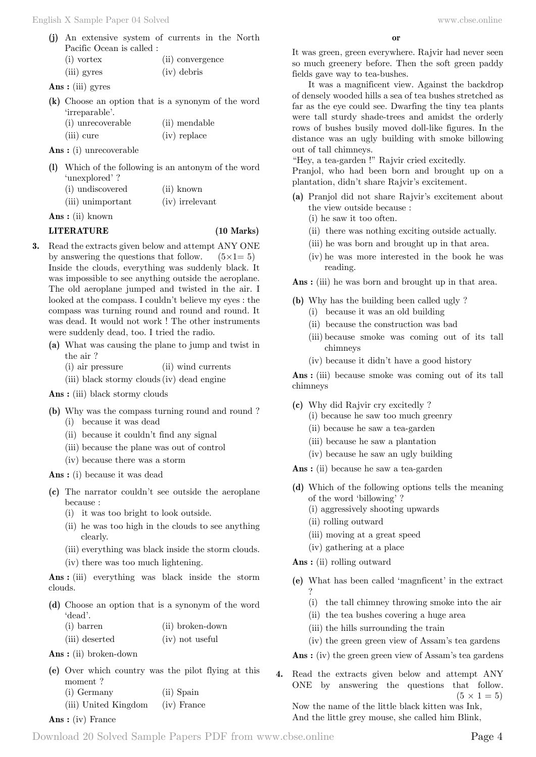(iii) gyres (iv) debris

 **Ans :** (iii) gyres

- **(k)** Choose an option that is a synonym of the word 'irreparable'.
	- (i) unrecoverable (ii) mendable (iii) cure (iv) replace

 **Ans :** (i) unrecoverable

**(l)** Which of the following is an antonym of the word 'unexplored' ?

| (i) undiscovered  | (ii) known      |
|-------------------|-----------------|
| (iii) unimportant | (iv) irrelevant |

 **Ans :** (ii) known

### **LITERATURE (10 Marks)**

- **3.** Read the extracts given below and attempt ANY ONE by answering the questions that follow.  $(5 \times 1 = 5)$ Inside the clouds, everything was suddenly black. It was impossible to see anything outside the aeroplane. The old aeroplane jumped and twisted in the air. I looked at the compass. I couldn't believe my eyes : the compass was turning round and round and round. It was dead. It would not work ! The other instruments were suddenly dead, too. I tried the radio.
	- **(a)** What was causing the plane to jump and twist in the air ?
		- (i) air pressure (ii) wind currents
		- (iii) black stormy clouds(iv) dead engine

 **Ans :** (iii) black stormy clouds

- **(b)** Why was the compass turning round and round ? (i) because it was dead
	- (ii) because it couldn't find any signal
	- (iii) because the plane was out of control
	- (iv) because there was a storm

 **Ans :** (i) because it was dead

- **(c)** The narrator couldn't see outside the aeroplane because :
	- (i) it was too bright to look outside.
	- (ii) he was too high in the clouds to see anything clearly.
	- (iii) everything was black inside the storm clouds.
	- (iv) there was too much lightening.

 **Ans :** (iii) everything was black inside the storm clouds.

**(d)** Choose an option that is a synonym of the word 'dead'.

| (i) barren     | (ii) broken-down |  |  |
|----------------|------------------|--|--|
| (iii) deserted | (iv) not useful  |  |  |

 **Ans :** (ii) broken-down

**(e)** Over which country was the pilot flying at this moment ? (i) Germany (ii) Spain

|  |  | (iii) United Kingdom |  | (iv) France |
|--|--|----------------------|--|-------------|
|--|--|----------------------|--|-------------|

### **Ans :** (iv) France

It was green, green everywhere. Rajvir had never seen so much greenery before. Then the soft green paddy fields gave way to tea-bushes.

It was a magnificent view. Against the backdrop of densely wooded hills a sea of tea bushes stretched as far as the eye could see. Dwarfing the tiny tea plants were tall sturdy shade-trees and amidst the orderly rows of bushes busily moved doll-like figures. In the distance was an ugly building with smoke billowing out of tall chimneys.

"Hey, a tea-garden !" Rajvir cried excitedly.

Pranjol, who had been born and brought up on a plantation, didn't share Rajvir's excitement.

- **(a)** Pranjol did not share Rajvir's excitement about the view outside because :
	- (i) he saw it too often.
	- (ii) there was nothing exciting outside actually.
	- (iii) he was born and brought up in that area.
	- (iv) he was more interested in the book he was reading.

Ans : (iii) he was born and brought up in that area.

- **(b)** Why has the building been called ugly ? (i) because it was an old building
	- (ii) because the construction was bad
	- (iii) because smoke was coming out of its tall chimneys
	- (iv) because it didn't have a good history

 **Ans :** (iii) because smoke was coming out of its tall chimneys

- **(c)** Why did Rajvir cry excitedly ?
	- (i) because he saw too much greenry
	- (ii) because he saw a tea-garden
	- (iii) because he saw a plantation
	- (iv) because he saw an ugly building

 **Ans :** (ii) because he saw a tea-garden

- **(d)** Which of the following options tells the meaning of the word 'billowing' ?
	- (i) aggressively shooting upwards
	- (ii) rolling outward
	- (iii) moving at a great speed
	- (iv) gathering at a place

 **Ans :** (ii) rolling outward

?

- **(e)** What has been called 'magnficent' in the extract
	- (i) the tall chimney throwing smoke into the air
	- (ii) the tea bushes covering a huge area
	- (iii) the hills surrounding the train
	- (iv) the green green view of Assam's tea gardens

 **Ans :** (iv) the green green view of Assam's tea gardens

**4.** Read the extracts given below and attempt ANY ONE by answering the questions that follow.  $(5 \times 1 = 5)$ 

Now the name of the little black kitten was Ink, And the little grey mouse, she called him Blink,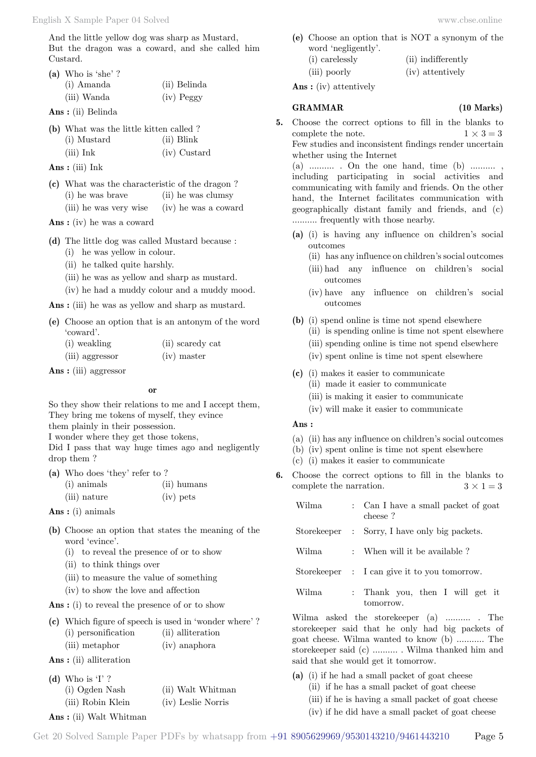And the little yellow dog was sharp as Mustard, But the dragon was a coward, and she called him Custard.

**(a)** Who is 'she' ?

| (i) Amanda  | (ii) Belinda |
|-------------|--------------|
| (iii) Wanda | $(iv)$ Peggy |

 **Ans :** (ii) Belinda

| (b) What was the little kitten called? |              |
|----------------------------------------|--------------|
| (i) Mustard                            | (ii) Blink   |
| $(iii)$ Ink                            | (iv) Custard |

 **Ans :** (iii) Ink

**(c)** What was the characteristic of the dragon ? (i) he was brave (ii) he was clumsy (iii) he was very wise (iv) he was a coward

 **Ans :** (iv) he was a coward

**(d)** The little dog was called Mustard because :

- (i) he was yellow in colour.
- (ii) he talked quite harshly.
- (iii) he was as yellow and sharp as mustard.
- (iv) he had a muddy colour and a muddy mood.

Ans : (iii) he was as yellow and sharp as mustard.

**(e)** Choose an option that is an antonym of the word 'coward'.

| (i) weakling    | (ii) scaredy cat |
|-----------------|------------------|
| (iii) aggressor | $(iv)$ master    |

 **Ans :** (iii) aggressor

 **o**

So they show their relations to me and I accept them, They bring me tokens of myself, they evince them plainly in their possession.

I wonder where they get those tokens,

Did I pass that way huge times ago and negligently drop them ?

| (a) Who does 'they' refer to ? |               |
|--------------------------------|---------------|
| (i) animals                    | $(ii)$ humans |
| (iii) nature                   | (iv) pets     |

 **Ans :** (i) animals

- **(b)** Choose an option that states the meaning of the word 'evince'.
	- (i) to reveal the presence of or to show
	- (ii) to think things over
	- (iii) to measure the value of something
	- (iv) to show the love and affection

 **Ans :** (i) to reveal the presence of or to show

|                                   | (c) Which figure of speech is used in 'wonder where'? |
|-----------------------------------|-------------------------------------------------------|
| (i) personification               | (ii) alliteration                                     |
| (iii) metaphor                    | (iv) anaphora                                         |
| $\mathbf{Ans:}$ (ii) alliteration |                                                       |

**(d)** Who is 'I' ?

| . . הייטוויין     |                    |
|-------------------|--------------------|
| (i) Ogden Nash    | (ii) Walt Whitman  |
| (iii) Robin Klein | (iv) Leslie Norris |
|                   |                    |

 **Ans :** (ii) Walt Whitman

**(e)** Choose an option that is NOT a synonym of the word 'negligently'. (i) carelessly (ii) indifferently (iii) poorly (iv) attentively

 **Ans :** (iv) attentively

### **GRAMMAR (10 Marks)**

**5.** Choose the correct options to fill in the blanks to complete the note.  $1 \times 3 = 3$ Few studies and inconsistent findings render uncertain whether using the Internet

(a)  $\dots \dots \dots$  . On the one hand, time (b)  $\dots \dots \dots$ including participating in social activities and communicating with family and friends. On the other hand, the Internet facilitates communication with geographically distant family and friends, and (c) .......... frequently with those nearby.

- **(a)** (i) is having any influence on children's social outcomes
	- (ii) has any influence on children's social outcomes
	- (iii) had any influence on children's social outcomes
	- (iv) have any influence on children's social outcomes
- **(b)** (i) spend online is time not spend elsewhere
	- (ii) is spending online is time not spent elsewhere
	- (iii) spending online is time not spend elsewhere
	- (iv) spent online is time not spent elsewhere
- **(c)** (i) makes it easier to communicate
	- (ii) made it easier to communicate
	- (iii) is making it easier to communicate
	- (iv) will make it easier to communicate

### **Ans :**

- (a) (ii) has any influence on children's social outcomes
- (b) (iv) spent online is time not spent elsewhere
- (c) (i) makes it easier to communicate
- **6.** Choose the correct options to fill in the blanks to complete the narration.  $3 \times 1 = 3$

| Wilma | : Can I have a small packet of goat<br>cheese? |
|-------|------------------------------------------------|
|       | Storekeeper : Sorry, I have only big packets.  |
| Wilma | : When will it be available?                   |
|       | Storekeeper : I can give it to you tomorrow.   |
| Wilma | : Thank you, then I will get it<br>tomorrow.   |
|       | Wilma asked the store keeper (a)  The          |

storekeeper said that he only had big packets of goat cheese. Wilma wanted to know (b) ........... The storekeeper said (c) .......... . Wilma thanked him and said that she would get it tomorrow.

- **(a)** (i) if he had a small packet of goat cheese
	- (ii) if he has a small packet of goat cheese
		- (iii) if he is having a small packet of goat cheese
		- (iv) if he did have a small packet of goat cheese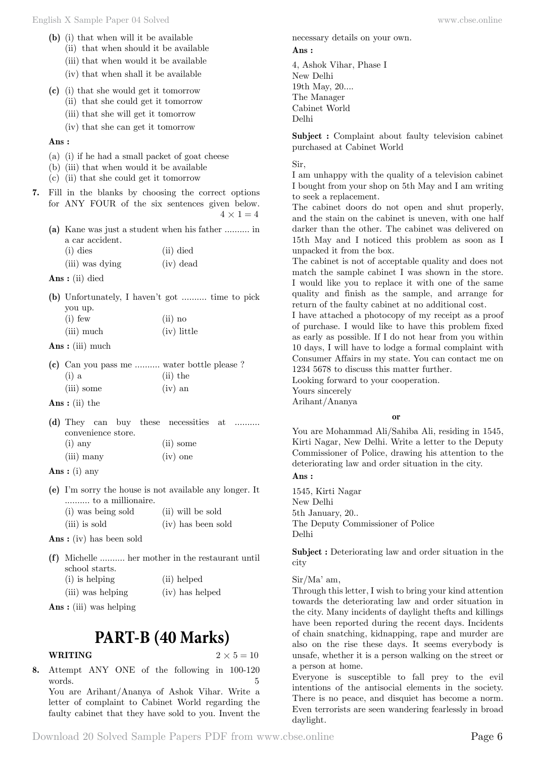- (ii) that when should it be available
- (iii) that when would it be available
- (iv) that when shall it be available
- **(c)** (i) that she would get it tomorrow
	- (ii) that she could get it tomorrow
	- (iii) that she will get it tomorrow
	- (iv) that she can get it tomorrow

 **Ans :**

- (a) (i) if he had a small packet of goat cheese
- (b) (iii) that when would it be available
- (c) (ii) that she could get it tomorrow
- **7.** Fill in the blanks by choosing the correct options for ANY FOUR of the six sentences given below.

 $4 \times 1 = 4$ 

**(a)** Kane was just a student when his father .......... in a car accident.<br> $\lim_{(1, 1) \to \infty}$ 

| $(i)$ dies      | (ii) died   |  |
|-----------------|-------------|--|
| (iii) was dying | $(iv)$ dead |  |

 **Ans :** (ii) died

**(b)** Unfortunately, I haven't got .......... time to pick you up. (i) few (ii) no

| (iii) much | $(iv)$ little |
|------------|---------------|
|            |               |

 **Ans :** (iii) much

**(c)** Can you pass me .......... water bottle please ?  $(i)$  a  $(iii)$  the (iii) some (iv) an

 **Ans :** (ii) the

- **(d)** They can buy these necessities at .......... convenience store. (i) any (ii) some (iii) many (iv) one
- **Ans :** (i) any
- **(e)** I'm sorry the house is not available any longer. It .......... to a millionaire. (i) was being sold (ii) will be sold
	- (iii) is sold (iv) has been sold

 **Ans :** (iv) has been sold

- **(f)** Michelle .......... her mother in the restaurant until school starts. (i) is helping (ii) helped
	- (iii) was helping (iv) has helped

 **Ans :** (iii) was helping

# **PART-B (40 Marks)**

# **WRITING**  $2 \times 5 = 10$

**8.** Attempt ANY ONE of the following in 100-120 words. 5 You are Arihant/Ananya of Ashok Vihar. Write a letter of complaint to Cabinet World regarding the faulty cabinet that they have sold to you. Invent the necessary details on your own.  **Ans :**

4, Ashok Vihar, Phase I New Delhi 19th May, 20.... The Manager Cabinet World Delhi

**Subject :** Complaint about faulty television cabinet purchased at Cabinet World

Sir,

I am unhappy with the quality of a television cabinet I bought from your shop on 5th May and I am writing to seek a replacement.

The cabinet doors do not open and shut properly, and the stain on the cabinet is uneven, with one half darker than the other. The cabinet was delivered on 15th May and I noticed this problem as soon as I unpacked it from the box.

The cabinet is not of acceptable quality and does not match the sample cabinet I was shown in the store. I would like you to replace it with one of the same quality and finish as the sample, and arrange for return of the faulty cabinet at no additional cost.

I have attached a photocopy of my receipt as a proof of purchase. I would like to have this problem fixed as early as possible. If I do not hear from you within 10 days, I will have to lodge a formal complaint with Consumer Affairs in my state. You can contact me on 1234 5678 to discuss this matter further.

Looking forward to your cooperation.

Yours sincerely

Arihant/Ananya

 **o**

You are Mohammad Ali/Sahiba Ali, residing in 1545, Kirti Nagar, New Delhi. Write a letter to the Deputy Commissioner of Police, drawing his attention to the deteriorating law and order situation in the city.

 **Ans :**

1545, Kirti Nagar New Delhi 5th January, 20.. The Deputy Commissioner of Police Delhi

**Subject :** Deteriorating law and order situation in the city

Sir/Ma' am,

Through this letter, I wish to bring your kind attention towards the deteriorating law and order situation in the city. Many incidents of daylight thefts and killings have been reported during the recent days. Incidents of chain snatching, kidnapping, rape and murder are also on the rise these days. It seems everybody is unsafe, whether it is a person walking on the street or a person at home.

Everyone is susceptible to fall prey to the evil intentions of the antisocial elements in the society. There is no peace, and disquiet has become a norm. Even terrorists are seen wandering fearlessly in broad daylight.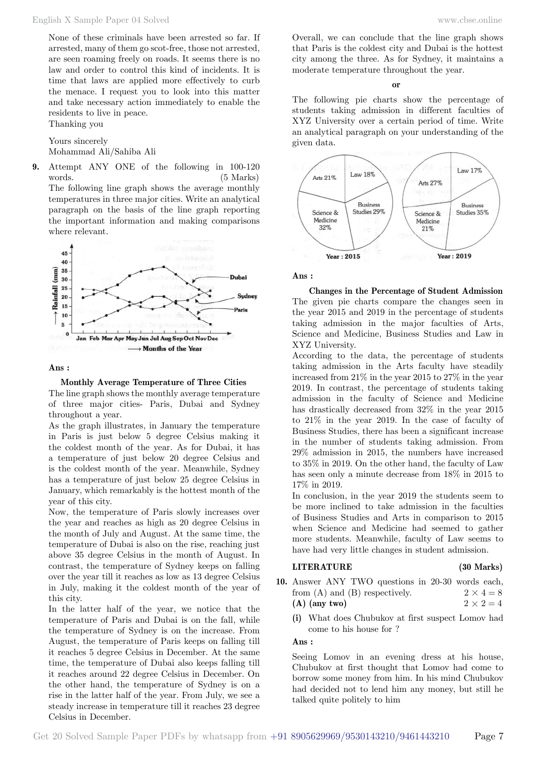None of these criminals have been arrested so far. If arrested, many of them go scot-free, those not arrested, are seen roaming freely on roads. It seems there is no law and order to control this kind of incidents. It is time that laws are applied more effectively to curb the menace. I request you to look into this matter and take necessary action immediately to enable the residents to live in peace. Thanking you

Yours sincerely Mohammad Ali/Sahiba Ali

**9.** Attempt ANY ONE of the following in 100-120 words. (5 Marks) The following line graph shows the average monthly temperatures in three major cities. Write an analytical paragraph on the basis of the line graph reporting the important information and making comparisons where relevant.



### **Ans :**

### **Monthly Average Temperature of Three Cities**

The line graph shows the monthly average temperature of three major cities- Paris, Dubai and Sydney throughout a year.

As the graph illustrates, in January the temperature in Paris is just below 5 degree Celsius making it the coldest month of the year. As for Dubai, it has a temperature of just below 20 degree Celsius and is the coldest month of the year. Meanwhile, Sydney has a temperature of just below 25 degree Celsius in January, which remarkably is the hottest month of the year of this city.

Now, the temperature of Paris slowly increases over the year and reaches as high as 20 degree Celsius in the month of July and August. At the same time, the temperature of Dubai is also on the rise, reaching just above 35 degree Celsius in the month of August. In contrast, the temperature of Sydney keeps on falling over the year till it reaches as low as 13 degree Celsius in July, making it the coldest month of the year of this city.

In the latter half of the year, we notice that the temperature of Paris and Dubai is on the fall, while the temperature of Sydney is on the increase. From August, the temperature of Paris keeps on falling till it reaches 5 degree Celsius in December. At the same time, the temperature of Dubai also keeps falling till it reaches around 22 degree Celsius in December. On the other hand, the temperature of Sydney is on a rise in the latter half of the year. From July, we see a steady increase in temperature till it reaches 23 degree Celsius in December.

Overall, we can conclude that the line graph shows that Paris is the coldest city and Dubai is the hottest city among the three. As for Sydney, it maintains a moderate temperature throughout the year.

 **o**

The following pie charts show the percentage of students taking admission in different faculties of XYZ University over a certain period of time. Write an analytical paragraph on your understanding of the given data.



## **Ans :**

**Changes in the Percentage of Student Admission** The given pie charts compare the changes seen in the year 2015 and 2019 in the percentage of students taking admission in the major faculties of Arts, Science and Medicine, Business Studies and Law in XYZ University.

According to the data, the percentage of students taking admission in the Arts faculty have steadily increased from 21% in the year 2015 to 27% in the year 2019. In contrast, the percentage of students taking admission in the faculty of Science and Medicine has drastically decreased from 32% in the year 2015 to 21% in the year 2019. In the case of faculty of Business Studies, there has been a significant increase in the number of students taking admission. From 29% admission in 2015, the numbers have increased to 35% in 2019. On the other hand, the faculty of Law has seen only a minute decrease from 18% in 2015 to 17% in 2019.

In conclusion, in the year 2019 the students seem to be more inclined to take admission in the faculties of Business Studies and Arts in comparison to 2015 when Science and Medicine had seemed to gather more students. Meanwhile, faculty of Law seems to have had very little changes in student admission.

# **LITERATURE (30 Marks)**

- **10.** Answer ANY TWO questions in 20-30 words each, from (A) and (B) respectively.  $2 \times 4 = 8$ **(A)** (any two)  $2 \times 2 = 4$ 
	- **(i)** What does Chubukov at first suspect Lomov had come to his house for ?

## **Ans :**

Seeing Lomov in an evening dress at his house, Chubukov at first thought that Lomov had come to borrow some money from him. In his mind Chubukov had decided not to lend him any money, but still he talked quite politely to him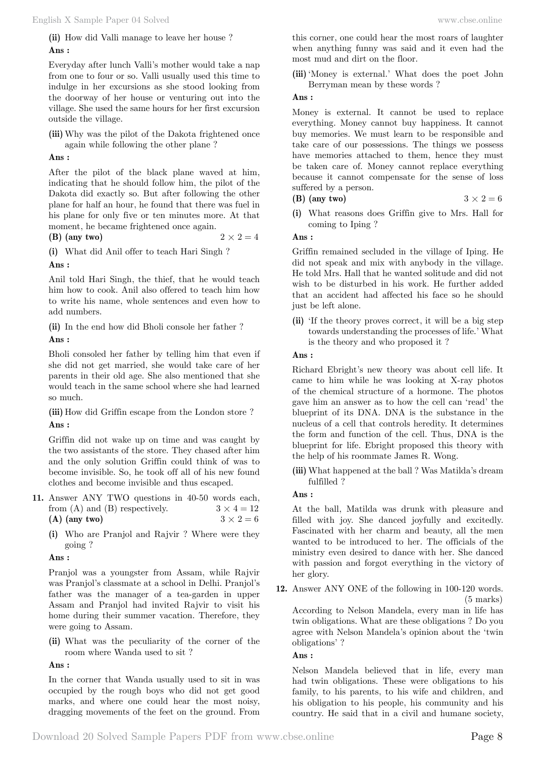English X Sample Paper 04 Solved [www.cbse.online](http://www.cbse.online) 

**(ii)** How did Valli manage to leave her house ?  **Ans :**

Everyday after lunch Valli's mother would take a nap from one to four or so. Valli usually used this time to indulge in her excursions as she stood looking from the doorway of her house or venturing out into the village. She used the same hours for her first excursion outside the village.

**(iii)** Why was the pilot of the Dakota frightened once again while following the other plane ?

# **Ans :**

After the pilot of the black plane waved at him, indicating that he should follow him, the pilot of the Dakota did exactly so. But after following the other plane for half an hour, he found that there was fuel in his plane for only five or ten minutes more. At that moment, he became frightened once again.

**(B)** (any two)  $2 \times 2 = 4$ 

**(i)** What did Anil offer to teach Hari Singh ?

 **Ans :**

Anil told Hari Singh, the thief, that he would teach him how to cook. Anil also offered to teach him how to write his name, whole sentences and even how to add numbers.

**(ii)** In the end how did Bholi console her father ?

 **Ans :**

Bholi consoled her father by telling him that even if she did not get married, she would take care of her parents in their old age. She also mentioned that she would teach in the same school where she had learned so much.

**(iii)** How did Griffin escape from the London store ?  **Ans :**

Griffin did not wake up on time and was caught by the two assistants of the store. They chased after him and the only solution Griffin could think of was to become invisible. So, he took off all of his new found clothes and become invisible and thus escaped.

- **11.** Answer ANY TWO questions in 40-50 words each, from (A) and (B) respectively.  $3 \times 4 = 12$ **(A)** (any two)  $3 \times 2 = 6$ 
	- **(i)** Who are Pranjol and Rajvir ? Where were they going ?

# **Ans :**

Pranjol was a youngster from Assam, while Rajvir was Pranjol's classmate at a school in Delhi. Pranjol's father was the manager of a tea-garden in upper Assam and Pranjol had invited Rajvir to visit his home during their summer vacation. Therefore, they were going to Assam.

**(ii)** What was the peculiarity of the corner of the room where Wanda used to sit ?

 **Ans :**

In the corner that Wanda usually used to sit in was occupied by the rough boys who did not get good marks, and where one could hear the most noisy, dragging movements of the feet on the ground. From

this corner, one could hear the most roars of laughter when anything funny was said and it even had the most mud and dirt on the floor.

**(iii)**'Money is external.' What does the poet John Berryman mean by these words ?

# **Ans :**

Money is external. It cannot be used to replace everything. Money cannot buy happiness. It cannot buy memories. We must learn to be responsible and take care of our possessions. The things we possess have memories attached to them, hence they must be taken care of. Money cannot replace everything because it cannot compensate for the sense of loss suffered by a person. **(B)** (any two)  $3 \times 2 = 6$ 

**(i)** What reasons does Griffin give to Mrs. Hall for coming to Iping ?

# **Ans :**

Griffin remained secluded in the village of Iping. He did not speak and mix with anybody in the village. He told Mrs. Hall that he wanted solitude and did not wish to be disturbed in his work. He further added that an accident had affected his face so he should just be left alone.

**(ii)** 'If the theory proves correct, it will be a big step towards understanding the processes of life.' What is the theory and who proposed it ?

# **Ans :**

Richard Ebright's new theory was about cell life. It came to him while he was looking at X-ray photos of the chemical structure of a hormone. The photos gave him an answer as to how the cell can 'read' the blueprint of its DNA. DNA is the substance in the nucleus of a cell that controls heredity. It determines the form and function of the cell. Thus, DNA is the blueprint for life. Ebright proposed this theory with the help of his roommate James R. Wong.

**(iii)** What happened at the ball ? Was Matilda's dream fulfilled ?

 **Ans :**

At the ball, Matilda was drunk with pleasure and filled with joy. She danced joyfully and excitedly. Fascinated with her charm and beauty, all the men wanted to be introduced to her. The officials of the ministry even desired to dance with her. She danced with passion and forgot everything in the victory of her glory.

**12.** Answer ANY ONE of the following in 100-120 words. (5 marks)

According to Nelson Mandela, every man in life has twin obligations. What are these obligations ? Do you agree with Nelson Mandela's opinion about the 'twin obligations' ?

# **Ans :**

Nelson Mandela believed that in life, every man had twin obligations. These were obligations to his family, to his parents, to his wife and children, and his obligation to his people, his community and his country. He said that in a civil and humane society,